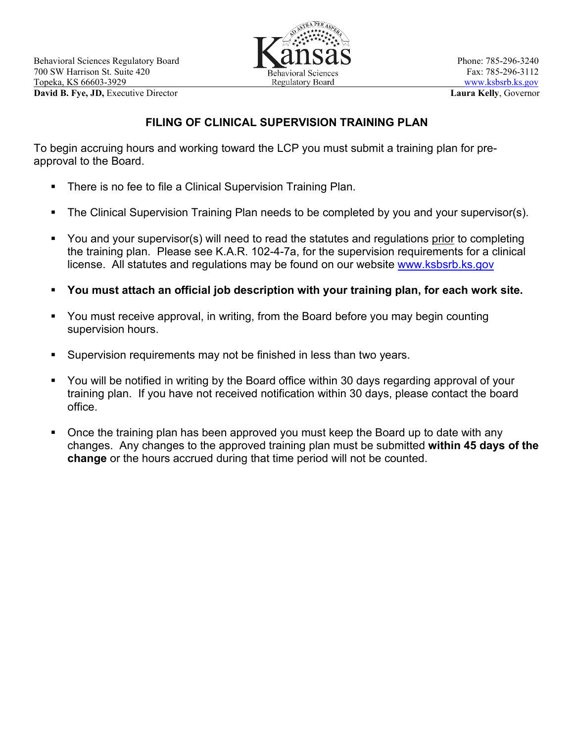

# **FILING OF CLINICAL SUPERVISION TRAINING PLAN**

To begin accruing hours and working toward the LCP you must submit a training plan for preapproval to the Board.

- **There is no fee to file a Clinical Supervision Training Plan.**
- The Clinical Supervision Training Plan needs to be completed by you and your supervisor(s).
- You and your supervisor(s) will need to read the statutes and regulations prior to completing the training plan. Please see K.A.R. 102-4-7a, for the supervision requirements for a clinical license. All statutes and regulations may be found on our website [www.ksbsrb.ks.gov](http://www.ksbsrb.ks.gov/)
- **You must attach an official job description with your training plan, for each work site.**
- You must receive approval, in writing, from the Board before you may begin counting supervision hours.
- Supervision requirements may not be finished in less than two years.
- You will be notified in writing by the Board office within 30 days regarding approval of your training plan. If you have not received notification within 30 days, please contact the board office.
- **Dian-** Once the training plan has been approved you must keep the Board up to date with any changes. Any changes to the approved training plan must be submitted **within 45 days of the change** or the hours accrued during that time period will not be counted.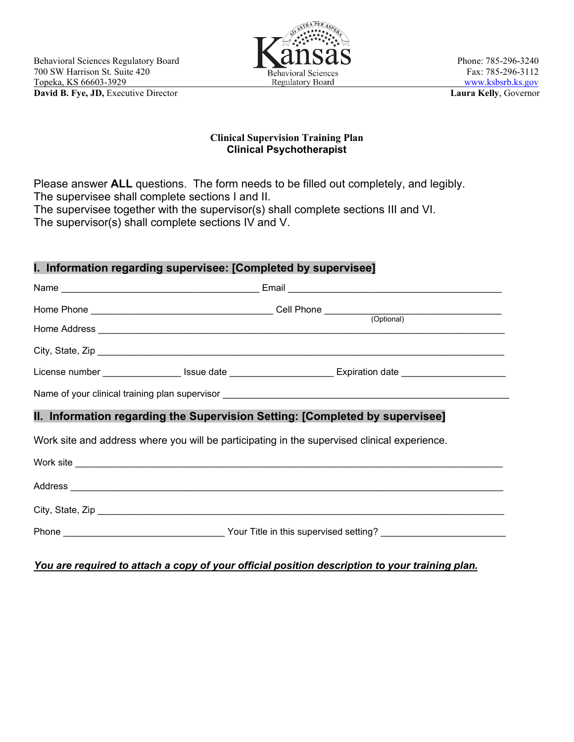

#### **Clinical Supervision Training Plan Clinical Psychotherapist**

Please answer **ALL** questions. The form needs to be filled out completely, and legibly. The supervisee shall complete sections I and II. The supervisee together with the supervisor(s) shall complete sections III and VI. The supervisor(s) shall complete sections IV and V.

### **I. Information regarding supervisee: [Completed by supervisee]**

| II. Information regarding the Supervision Setting: [Completed by supervisee]                        |  |
|-----------------------------------------------------------------------------------------------------|--|
| Work site and address where you will be participating in the supervised clinical experience.        |  |
|                                                                                                     |  |
|                                                                                                     |  |
|                                                                                                     |  |
| Phone ________________________________Your Title in this supervised setting? ______________________ |  |
|                                                                                                     |  |

*You are required to attach a copy of your official position description to your training plan.*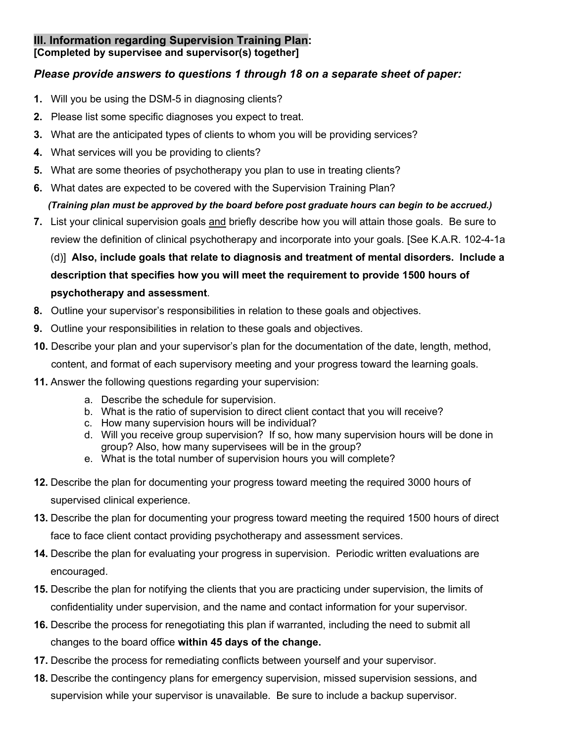# **III. Information regarding Supervision Training Plan:**

**[Completed by supervisee and supervisor(s) together]**

### *Please provide answers to questions 1 through 18 on a separate sheet of paper:*

- **1.** Will you be using the DSM-5 in diagnosing clients?
- **2.** Please list some specific diagnoses you expect to treat.
- **3.** What are the anticipated types of clients to whom you will be providing services?
- **4.** What services will you be providing to clients?
- **5.** What are some theories of psychotherapy you plan to use in treating clients?
- **6.** What dates are expected to be covered with the Supervision Training Plan?

# *(Training plan must be approved by the board before post graduate hours can begin to be accrued.)*

**7.** List your clinical supervision goals and briefly describe how you will attain those goals. Be sure to review the definition of clinical psychotherapy and incorporate into your goals. [See K.A.R. 102-4-1a

(d)] **Also, include goals that relate to diagnosis and treatment of mental disorders. Include a description that specifies how you will meet the requirement to provide 1500 hours of psychotherapy and assessment**.

- **8.** Outline your supervisor's responsibilities in relation to these goals and objectives.
- **9.** Outline your responsibilities in relation to these goals and objectives.
- **10.** Describe your plan and your supervisor's plan for the documentation of the date, length, method, content, and format of each supervisory meeting and your progress toward the learning goals.
- **11.** Answer the following questions regarding your supervision:
	- a. Describe the schedule for supervision.
	- b. What is the ratio of supervision to direct client contact that you will receive?
	- c. How many supervision hours will be individual?
	- d. Will you receive group supervision? If so, how many supervision hours will be done in group? Also, how many supervisees will be in the group?
	- e. What is the total number of supervision hours you will complete?
- **12.** Describe the plan for documenting your progress toward meeting the required 3000 hours of supervised clinical experience.
- **13.** Describe the plan for documenting your progress toward meeting the required 1500 hours of direct face to face client contact providing psychotherapy and assessment services.
- **14.** Describe the plan for evaluating your progress in supervision. Periodic written evaluations are encouraged.
- **15.** Describe the plan for notifying the clients that you are practicing under supervision, the limits of confidentiality under supervision, and the name and contact information for your supervisor.
- **16.** Describe the process for renegotiating this plan if warranted, including the need to submit all changes to the board office **within 45 days of the change.**
- **17.** Describe the process for remediating conflicts between yourself and your supervisor.
- **18.** Describe the contingency plans for emergency supervision, missed supervision sessions, and supervision while your supervisor is unavailable. Be sure to include a backup supervisor.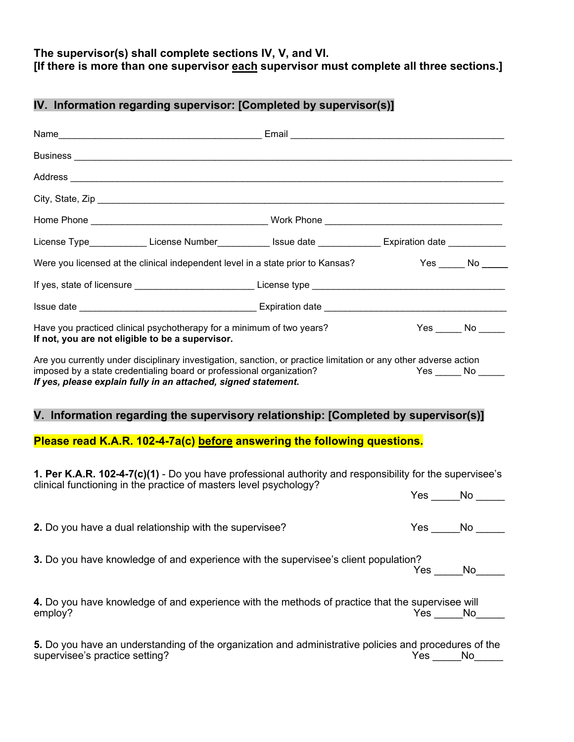# **The supervisor(s) shall complete sections IV, V, and VI. [If there is more than one supervisor each supervisor must complete all three sections.]**

# **IV. Information regarding supervisor: [Completed by supervisor(s)]**

| License Type_____________License Number____________Issue date ______________Expiration date _____________                                                                                                                                                  |  |                          |
|------------------------------------------------------------------------------------------------------------------------------------------------------------------------------------------------------------------------------------------------------------|--|--------------------------|
| Were you licensed at the clinical independent level in a state prior to Kansas?                                                                                                                                                                            |  | $Yes$ No $\_\_\_\_\$     |
|                                                                                                                                                                                                                                                            |  |                          |
|                                                                                                                                                                                                                                                            |  |                          |
| Have you practiced clinical psychotherapy for a minimum of two years?<br>If not, you are not eligible to be a supervisor.                                                                                                                                  |  | $Yes \_\_\_ No \_\_\_\_$ |
| Are you currently under disciplinary investigation, sanction, or practice limitation or any other adverse action<br>imposed by a state credentialing board or professional organization?<br>If yes, please explain fully in an attached, signed statement. |  | $Yes \_\_ No \_\_$       |
| V. Information regarding the supervisory relationship: [Completed by supervisor(s)]                                                                                                                                                                        |  |                          |
| Please read K.A.R. 102-4-7a(c) before answering the following questions.                                                                                                                                                                                   |  |                          |
| 1. Per K.A.R. 102-4-7(c)(1) - Do you have professional authority and responsibility for the supervisee's                                                                                                                                                   |  |                          |
| clinical functioning in the practice of masters level psychology?                                                                                                                                                                                          |  | $Yes \_\_No \_\_$        |
| 2. Do you have a dual relationship with the supervisee?                                                                                                                                                                                                    |  | $Yes \_\_No \_\_$        |
| 3. Do you have knowledge of and experience with the supervisee's client population?                                                                                                                                                                        |  | $Yes$ No                 |
| 4. Do you have knowledge of and experience with the methods of practice that the supervisee will<br>employ?                                                                                                                                                |  | Yes No                   |
| 5. Do you have an understanding of the organization and administrative policies and procedures of the<br>supervisee's practice setting?                                                                                                                    |  | Yes ______No______       |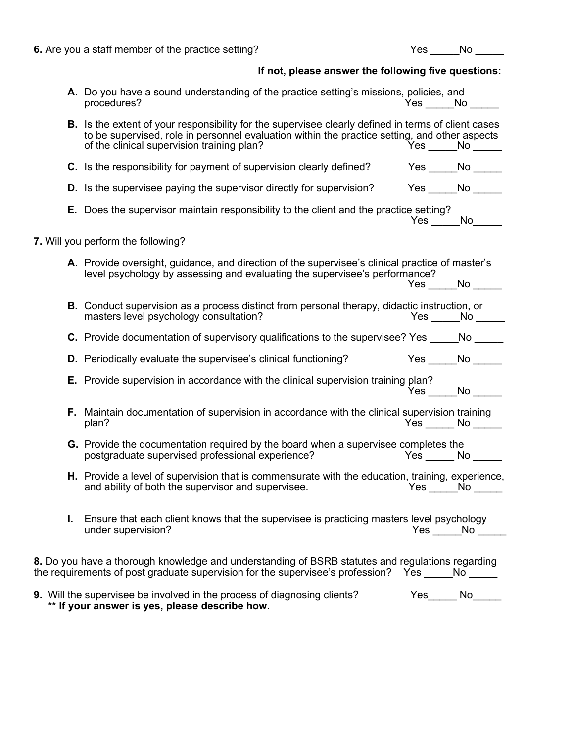|    | 6. Are you a staff member of the practice setting?                                                                                                                                                                                                 |                 | Yes No                        |
|----|----------------------------------------------------------------------------------------------------------------------------------------------------------------------------------------------------------------------------------------------------|-----------------|-------------------------------|
|    | If not, please answer the following five questions:                                                                                                                                                                                                |                 |                               |
|    | A. Do you have a sound understanding of the practice setting's missions, policies, and<br>procedures?                                                                                                                                              | $Yes$ No $\_\_$ |                               |
|    | B. Is the extent of your responsibility for the supervisee clearly defined in terms of client cases<br>to be supervised, role in personnel evaluation within the practice setting, and other aspects<br>of the clinical supervision training plan? |                 | $Yes$ No $\rule{1em}{0.15mm}$ |
|    | C. Is the responsibility for payment of supervision clearly defined? Yes _____No _____                                                                                                                                                             |                 |                               |
|    | D. Is the supervisee paying the supervisor directly for supervision? Yes _____No _____                                                                                                                                                             |                 |                               |
|    | <b>E.</b> Does the supervisor maintain responsibility to the client and the practice setting?                                                                                                                                                      |                 | $Yes \_ No \_$                |
|    | 7. Will you perform the following?                                                                                                                                                                                                                 |                 |                               |
|    | A. Provide oversight, guidance, and direction of the supervisee's clinical practice of master's<br>level psychology by assessing and evaluating the supervisee's performance?                                                                      |                 | $Yes \_\_No \_\_$             |
|    | <b>B.</b> Conduct supervision as a process distinct from personal therapy, didactic instruction, or<br>masters level psychology consultation?                                                                                                      |                 | $Yes$ No $\_\_$               |
|    | C. Provide documentation of supervisory qualifications to the supervisee? Yes ______ No ______                                                                                                                                                     |                 |                               |
|    | D. Periodically evaluate the supervisee's clinical functioning? Yes _____No _____                                                                                                                                                                  |                 |                               |
|    | <b>E.</b> Provide supervision in accordance with the clinical supervision training plan?                                                                                                                                                           |                 | $Yes$ No $\_\_$               |
|    | F. Maintain documentation of supervision in accordance with the clinical supervision training<br>plan?                                                                                                                                             |                 | $Yes \_ No \_$                |
|    | G. Provide the documentation required by the board when a supervisee completes the<br>postgraduate supervised professional experience?<br>$Yes$ _________ No _______                                                                               |                 |                               |
|    | <b>H.</b> Provide a level of supervision that is commensurate with the education, training, experience,<br>and ability of both the supervisor and supervisee.                                                                                      |                 | $Yes$ No $\_\_$               |
| L. | Ensure that each client knows that the supervisee is practicing masters level psychology<br>under supervision?                                                                                                                                     |                 | $Yes \_\_No \_\_$             |
|    | 8. Do you have a thorough knowledge and understanding of BSRB statutes and regulations regarding<br>the requirements of post graduate supervision for the supervisee's profession? Yes No                                                          |                 |                               |

| 9. Will the supervisee be involved in the process of diagnosing clients? | Yes | No |  |
|--------------------------------------------------------------------------|-----|----|--|
| ** If your answer is yes, please describe how.                           |     |    |  |